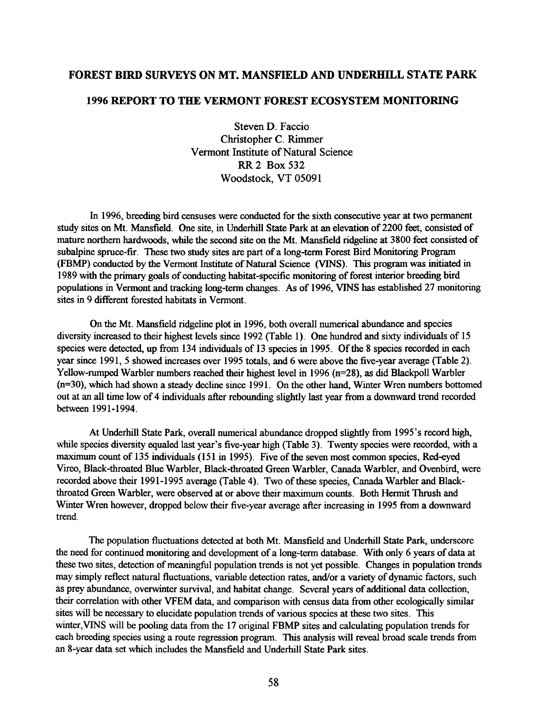## **FOREST BIRD SURVEYS ON MT. MANSFIELD AND UNDERHILL STATE PARK**

## 1996 REPORT TO THE VERMONT FOREST ECOSYSTEM MONITORING

Steven D. Faccio Christopher C. Rimmer Vermont Institute of Natural Science **RR 2 Box 532** Woodstock, VT 05091

In 1996, breeding bird censuses were conducted for the sixth consecutive year at two permanent study sites on Mt. Mansfield. One site, in Underhill State Park at an elevation of 2200 feet, consisted of mature northern hardwoods, while the second site on the Mt. Mansfield ridgeline at 3800 feet consisted of subalpine spruce-fir. These two study sites are part of a long-term Forest Bird Monitoring Program (FBMP) conducted by the Vermont Institute of Natural Science (VINS). This program was initiated in 1989 with the primary goals of conducting habitat-specific monitoring of forest interior breeding bird populations in Vermont and tracking long-term changes. As of 1996, VINS has established 27 monitoring sites in 9 different forested habitats in Vermont.

On the Mt. Mansfield ridgeline plot in 1996, both overall numerical abundance and species diversity increased to their highest levels since 1992 (Table 1). One hundred and sixty individuals of 15 species were detected, up from 134 individuals of 13 species in 1995. Of the 8 species recorded in each year since 1991, 5 showed increases over 1995 totals, and 6 were above the five-year average (Table 2). Yellow-rumped Warbler numbers reached their highest level in 1996  $(n=28)$ , as did Blackpoll Warbler (n=30), which had shown a steady decline since 1991. On the other hand, Winter Wren numbers bottomed out at an all time low of 4 individuals after rebounding slightly last year from a downward trend recorded between 1991-1994.

At Underhill State Park, overall numerical abundance dropped slightly from 1995's record high, while species diversity equaled last year's five-year high (Table 3). Twenty species were recorded, with a maximum count of 135 individuals (151 in 1995). Five of the seven most common species, Red-eyed Vireo, Black-throated Blue Warbler, Black-throated Green Warbler, Canada Warbler, and Ovenbird, were recorded above their 1991-1995 average (Table 4). Two of these species, Canada Warbler and Blackthroated Green Warbler, were observed at or above their maximum counts. Both Hermit Thrush and Winter Wren however, dropped below their five-year average after increasing in 1995 from a downward trend.

The population fluctuations detected at both Mt. Mansfield and Underhill State Park, underscore the need for continued monitoring and development of a long-term database. With only 6 years of data at these two sites, detection of meaningful population trends is not yet possible. Changes in population trends may simply reflect natural fluctuations, variable detection rates, and/or a variety of dynamic factors, such as prey abundance, overwinter survival, and habitat change. Several years of additional data collection, their correlation with other VFEM data, and comparison with census data from other ecologically similar sites will be necessary to elucidate population trends of various species at these two sites. This winter, VINS will be pooling data from the 17 original FBMP sites and calculating population trends for each breeding species using a route regression program. This analysis will reveal broad scale trends from an 8-year data set which includes the Mansfield and Underhill State Park sites.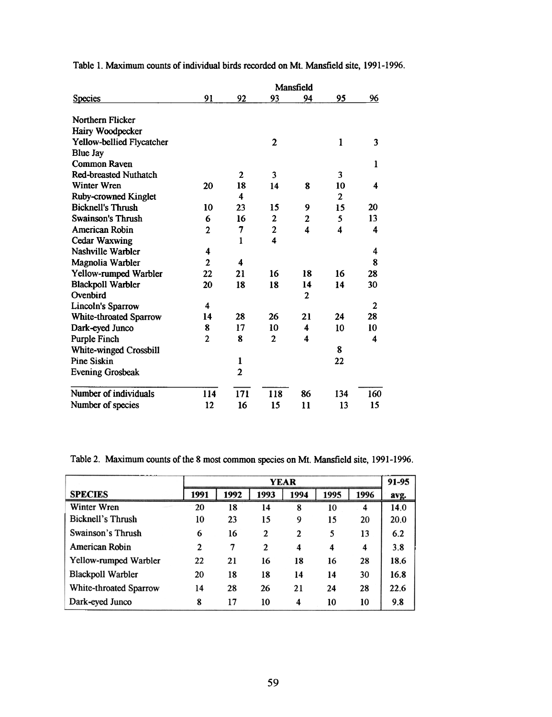|                              |                |                |                | Mansfield        |              |     |  |  |  |  |  |
|------------------------------|----------------|----------------|----------------|------------------|--------------|-----|--|--|--|--|--|
| <b>Species</b>               | 91             | 92             | 93             | 94               | 95           | 96  |  |  |  |  |  |
| <b>Northern Flicker</b>      |                |                |                |                  |              |     |  |  |  |  |  |
| Hairy Woodpecker             |                |                |                |                  |              |     |  |  |  |  |  |
| Yellow-bellied Flycatcher    |                |                | $\overline{2}$ |                  | 1            | 3   |  |  |  |  |  |
| <b>Blue Jay</b>              |                |                |                |                  |              |     |  |  |  |  |  |
| Common Raven                 |                |                |                |                  |              | 1   |  |  |  |  |  |
| <b>Red-breasted Nuthatch</b> |                | $\mathbf{2}$   | 3              |                  | 3            |     |  |  |  |  |  |
| <b>Winter Wren</b>           | 20             | 18             | 14             | 8                | 10           | 4   |  |  |  |  |  |
| Ruby-crowned Kinglet         |                | 4              |                |                  | $\mathbf{2}$ |     |  |  |  |  |  |
| <b>Bicknell's Thrush</b>     | 10             | 23             | 15             | 9                | 15           | 20  |  |  |  |  |  |
| <b>Swainson's Thrush</b>     | 6              | 16             | $\mathbf{2}$   | $\mathbf{2}$     | 5            | 13  |  |  |  |  |  |
| American Robin               | $\overline{2}$ | 7              | $\overline{2}$ | $\boldsymbol{4}$ | 4            | 4   |  |  |  |  |  |
| <b>Cedar Waxwing</b>         |                | 1              | 4              |                  |              |     |  |  |  |  |  |
| Nashville Warbler            | 4              |                |                |                  |              | 4   |  |  |  |  |  |
| Magnolia Warbler             | $\overline{2}$ | 4              |                |                  |              | 8   |  |  |  |  |  |
| <b>Yellow-rumped Warbler</b> | 22             | 21             | 16             | 18               | 16           | 28  |  |  |  |  |  |
| <b>Blackpoll Warbler</b>     | 20             | 18             | 18             | 14               | 14           | 30  |  |  |  |  |  |
| Ovenbird                     |                |                |                | $\mathbf{2}$     |              |     |  |  |  |  |  |
| Lincoln's Sparrow            | 4              |                |                |                  |              | 2   |  |  |  |  |  |
| White-throated Sparrow       | 14             | 28             | 26             | 21               | 24           | 28  |  |  |  |  |  |
| Dark-eyed Junco              | 8              | 17             | 10             | 4                | 10           | 10  |  |  |  |  |  |
| <b>Purple Finch</b>          | $\overline{2}$ | 8              | $\mathbf{2}$   | 4                |              | 4   |  |  |  |  |  |
| White-winged Crossbill       |                |                |                |                  | 8            |     |  |  |  |  |  |
| <b>Pine Siskin</b>           |                | 1              |                |                  | 22           |     |  |  |  |  |  |
| <b>Evening Grosbeak</b>      |                | $\overline{2}$ |                |                  |              |     |  |  |  |  |  |
| Number of individuals        | 114            | 171            | 118            | 86               | 134          | 160 |  |  |  |  |  |
| Number of species            | 12             | 16             | 15             | 11               | 13           | 15  |  |  |  |  |  |

Table I. Maximum counts of individual birds recorded on Mt. Mansfield site, 1991-1996.

Table 2. Maximum counts of the 8 most common species on Mt. Mansfield site, 1991-1996.

|                               | YEAR         |      |                |              |      | 91-95 |      |
|-------------------------------|--------------|------|----------------|--------------|------|-------|------|
| <b>SPECIES</b>                | 1991         | 1992 | 1993           | 1994         | 1995 | 1996  | avg. |
| Winter Wren                   | 20           | 18   | 14             | 8            | 10   | 4     | 14.0 |
| <b>Bicknell's Thrush</b>      | 10           | 23   | 15             | 9            | 15   | 20    | 20.0 |
| <b>Swainson's Thrush</b>      | 6            | 16   | $\mathbf{2}$   | $\mathbf{2}$ | 5    | 13    | 6.2  |
| American Robin                | $\mathbf{2}$ | 7    | $\overline{2}$ | 4            | 4    | 4     | 3.8  |
| <b>Yellow-rumped Warbler</b>  | 22           | 21   | 16             | 18           | 16   | 28    | 18.6 |
| <b>Blackpoll Warbler</b>      | 20           | 18   | 18             | 14           | 14   | 30    | 16.8 |
| <b>White-throated Sparrow</b> | 14           | 28   | 26             | 21           | 24   | 28    | 22.6 |
| Dark-eyed Junco               | 8            | 17   | 10             | 4            | 10   | 10    | 9.8  |